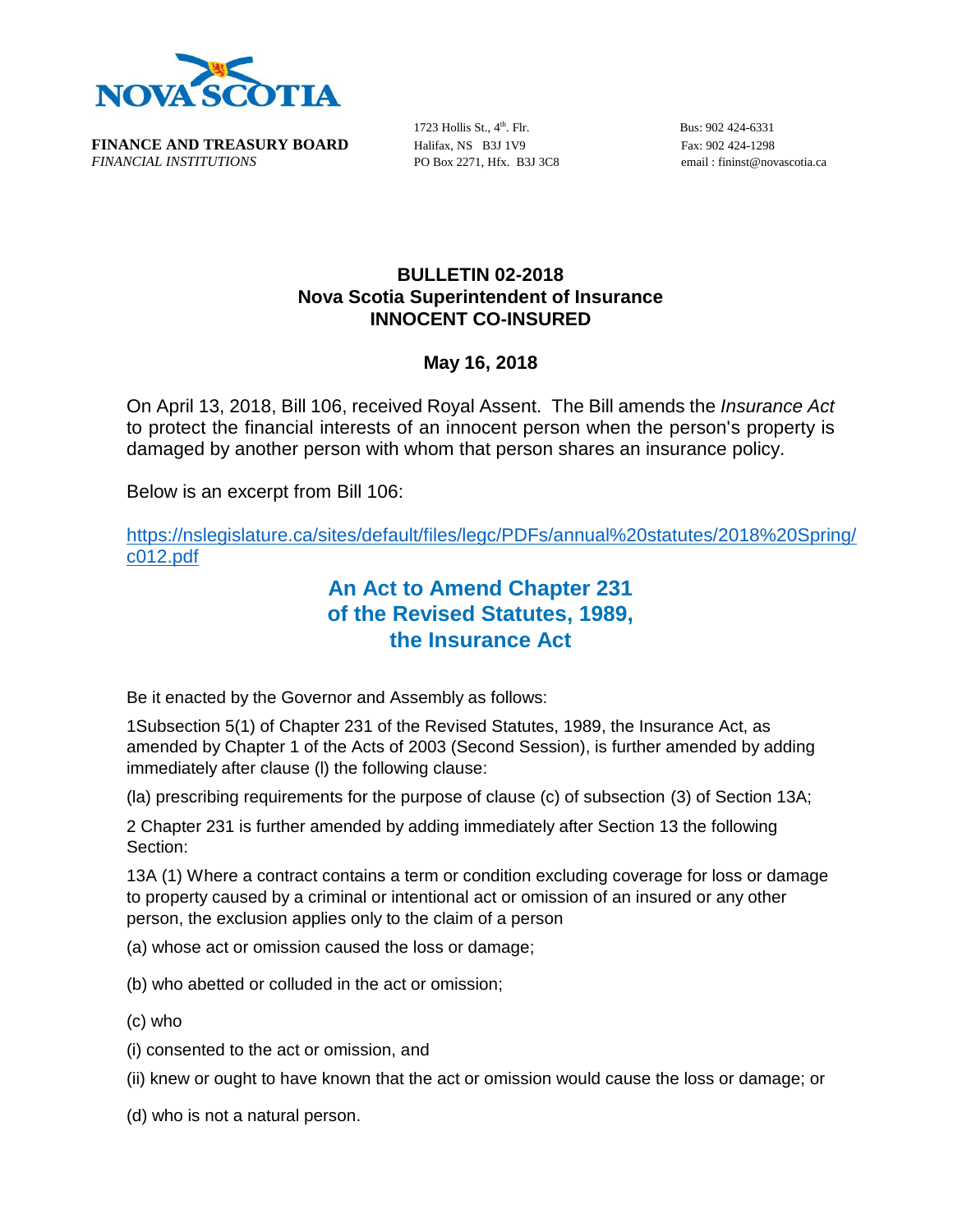

**FINANCE AND TREASURY BOARD** Halifax, NS B3J 1V9 Fax: 902 424-1298 *FINANCIAL INSTITUTIONS* PO Box 2271, Hfx. B3J 3C8 email : fininst@novascotia.ca

1723 Hollis St.,  $4<sup>th</sup>$ . Flr.

Bus: 902 424-6331

## **BULLETIN 02-2018 Nova Scotia Superintendent of Insurance INNOCENT CO-INSURED**

## **May 16, 2018**

On April 13, 2018, Bill 106, received Royal Assent. The Bill amends the *Insurance Act* to protect the financial interests of an innocent person when the person's property is damaged by another person with whom that person shares an insurance policy.

Below is an excerpt from Bill 106:

[https://nslegislature.ca/sites/default/files/legc/PDFs/annual%20statutes/2018%20Spring/](https://nslegislature.ca/sites/default/files/legc/PDFs/annual%20statutes/2018%20Spring/c012.pdf) [c012.pdf](https://nslegislature.ca/sites/default/files/legc/PDFs/annual%20statutes/2018%20Spring/c012.pdf)

## **An Act to Amend Chapter 231 of the Revised Statutes, 1989, the Insurance Act**

Be it enacted by the Governor and Assembly as follows:

1Subsection 5(1) of Chapter 231 of the Revised Statutes, 1989, the Insurance Act, as amended by Chapter 1 of the Acts of 2003 (Second Session), is further amended by adding immediately after clause (l) the following clause:

(la) prescribing requirements for the purpose of clause (c) of subsection (3) of Section 13A;

2 Chapter 231 is further amended by adding immediately after Section 13 the following Section:

13A (1) Where a contract contains a term or condition excluding coverage for loss or damage to property caused by a criminal or intentional act or omission of an insured or any other person, the exclusion applies only to the claim of a person

(a) whose act or omission caused the loss or damage;

- (b) who abetted or colluded in the act or omission;
- (c) who
- (i) consented to the act or omission, and
- (ii) knew or ought to have known that the act or omission would cause the loss or damage; or
- (d) who is not a natural person.